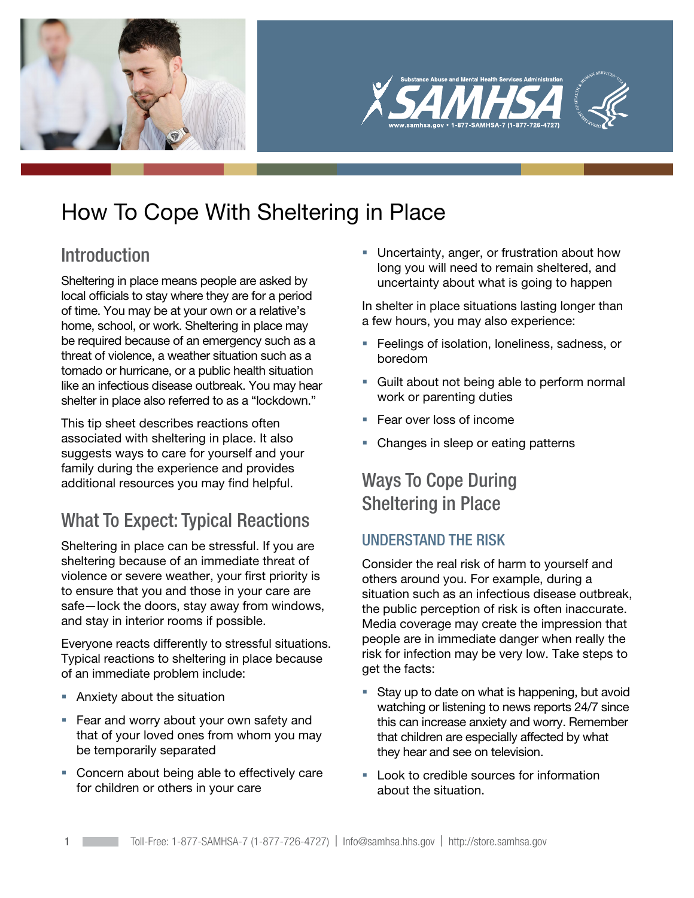



# How To Cope With Sheltering in Place

## Introduction

Sheltering in place means people are asked by local officials to stay where they are for a period of time. You may be at your own or a relative's home, school, or work. Sheltering in place may be required because of an emergency such as a threat of violence, a weather situation such as a tornado or hurricane, or a public health situation like an infectious disease outbreak. You may hear shelter in place also referred to as a "lockdown."

This tip sheet describes reactions often associated with sheltering in place. It also suggests ways to care for yourself and your family during the experience and provides additional resources you may find helpful.

## What To Expect: Typical Reactions

Sheltering in place can be stressful. If you are sheltering because of an immediate threat of violence or severe weather, your first priority is to ensure that you and those in your care are safe—lock the doors, stay away from windows, and stay in interior rooms if possible.

Everyone reacts differently to stressful situations. Typical reactions to sheltering in place because of an immediate problem include:

- Anxiety about the situation
- **Fear and worry about your own safety and** that of your loved ones from whom you may be temporarily separated
- **Concern about being able to effectively care** for children or others in your care

**Uncertainty, anger, or frustration about how** long you will need to remain sheltered, and uncertainty about what is going to happen

In shelter in place situations lasting longer than a few hours, you may also experience:

- Feelings of isolation, loneliness, sadness, or boredom
- Guilt about not being able to perform normal work or parenting duties
- **Fear over loss of income**
- Changes in sleep or eating patterns

## Ways To Cope During Sheltering in Place

### UNDERSTAND THE RISK

Consider the real risk of harm to yourself and others around you. For example, during a situation such as an infectious disease outbreak, the public perception of risk is often inaccurate. Media coverage may create the impression that people are in immediate danger when really the risk for infection may be very low. Take steps to get the facts:

- Stay up to date on what is happening, but avoid watching or listening to news reports 24/7 since this can increase anxiety and worry. Remember that children are especially affected by what they hear and see on television.
- **Look to credible sources for information** about the situation.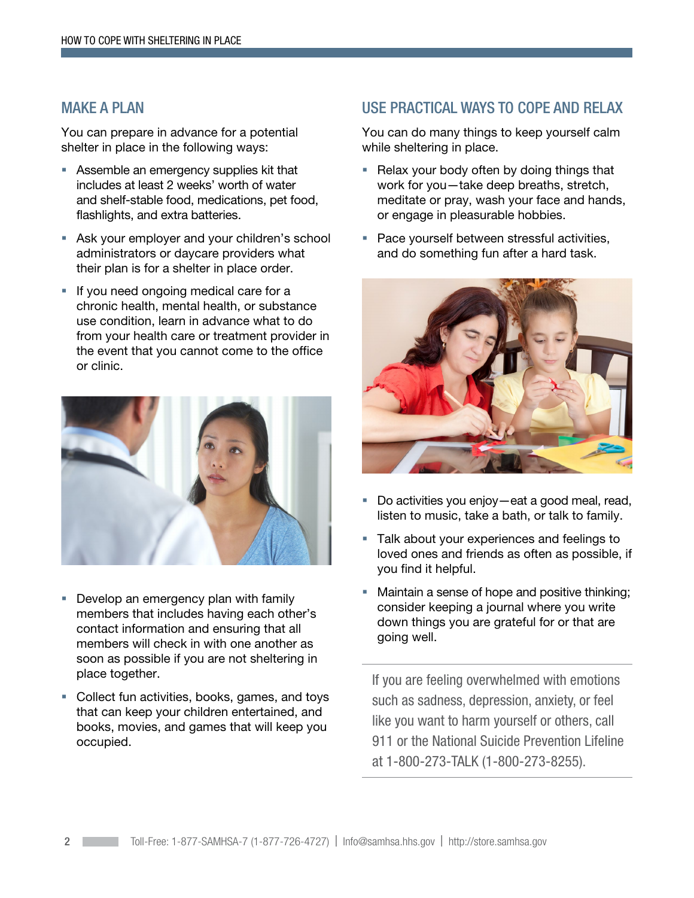### MAKE A PLAN

You can prepare in advance for a potential shelter in place in the following ways:

- **Assemble an emergency supplies kit that** includes at least 2 weeks' worth of water and shelf-stable food, medications, pet food, flashlights, and extra batteries.
- Ask your employer and your children's school administrators or daycare providers what their plan is for a shelter in place order.
- If you need ongoing medical care for a chronic health, mental health, or substance use condition, learn in advance what to do from your health care or treatment provider in the event that you cannot come to the office or clinic.



- **Develop an emergency plan with family** members that includes having each other's contact information and ensuring that all members will check in with one another as soon as possible if you are not sheltering in place together.
- Collect fun activities, books, games, and toys that can keep your children entertained, and books, movies, and games that will keep you occupied.

### USE PRACTICAL WAYS TO COPE AND RELAX

You can do many things to keep yourself calm while sheltering in place.

- Relax your body often by doing things that work for you—take deep breaths, stretch, meditate or pray, wash your face and hands, or engage in pleasurable hobbies.
- **Pace yourself between stressful activities,** and do something fun after a hard task.



- Do activities you enjoy—eat a good meal, read, listen to music, take a bath, or talk to family.
- **Talk about your experiences and feelings to** loved ones and friends as often as possible, if you find it helpful.
- **Maintain a sense of hope and positive thinking;** consider keeping a journal where you write down things you are grateful for or that are going well.

If you are feeling overwhelmed with emotions such as sadness, depression, anxiety, or feel like you want to harm yourself or others, call 911 or the National Suicide Prevention Lifeline at 1-800-273-TALK (1-800-273-8255).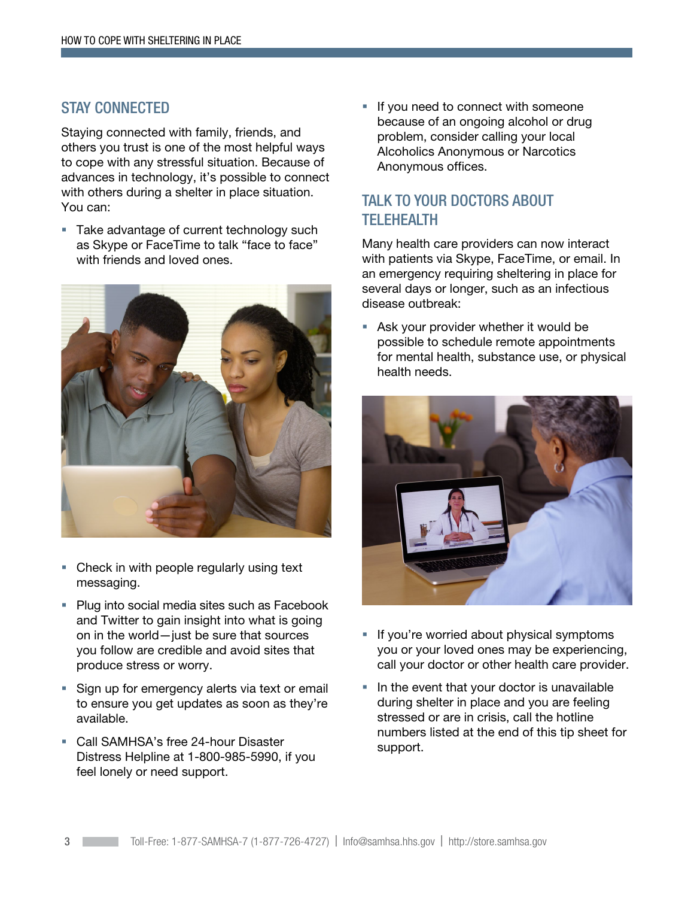### STAY CONNECTED

Staying connected with family, friends, and others you trust is one of the most helpful ways to cope with any stressful situation. Because of advances in technology, it's possible to connect with others during a shelter in place situation. You can:

**Take advantage of current technology such** as Skype or FaceTime to talk "face to face" with friends and loved ones.



- Check in with people regularly using text messaging.
- **Plug into social media sites such as Facebook** and Twitter to gain insight into what is going on in the world—just be sure that sources you follow are credible and avoid sites that produce stress or worry.
- **Sign up for emergency alerts via text or email** to ensure you get updates as soon as they're available.
- **Call SAMHSA's free 24-hour Disaster** Distress Helpline at 1-800-985-5990, if you feel lonely or need support.

If you need to connect with someone because of an ongoing alcohol or drug problem, consider calling your local Alcoholics Anonymous or Narcotics Anonymous offices.

### TALK TO YOUR DOCTORS ABOUT **TELEHEALTH**

Many health care providers can now interact with patients via Skype, FaceTime, or email. In an emergency requiring sheltering in place for several days or longer, such as an infectious disease outbreak:

 Ask your provider whether it would be possible to schedule remote appointments for mental health, substance use, or physical health needs.



- If you're worried about physical symptoms you or your loved ones may be experiencing, call your doctor or other health care provider.
- In the event that your doctor is unavailable during shelter in place and you are feeling stressed or are in crisis, call the hotline numbers listed at the end of this tip sheet for support.